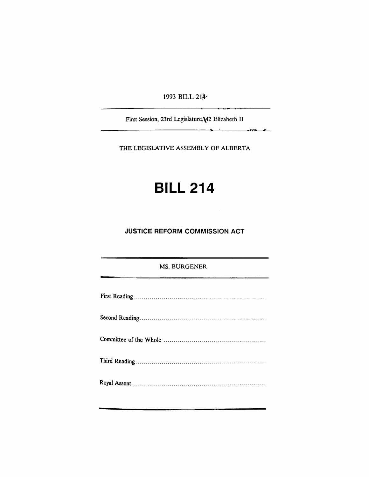1993 BILL 214-

First Session, 23rd Legislature,\42 Elizabeth II

THE LEGISLATIVE ASSEMBLY OF ALBERTA

# **BILL 214**

### **JUSTICE REFORM COMMISSION ACT**

#### MS. BURGENER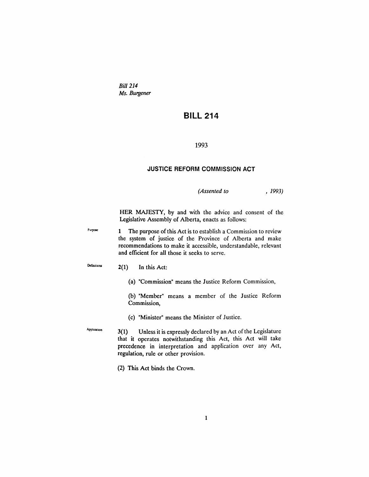*Bill 214 Ms. Burgener*

## **BILL 214**

#### 1993

#### **JUSTICE REFORM COMMISSION ACT**

*(Assented to* , 1993)

HER MAJESTY, by and with the advice and consent of the Legislative Assembly of Alberta, enacts as follows:

Purpose 1 The purpose of this Act is to establish a Commission to review the system of justice of the Province of Alberta and make recommendations to make it accessible, understandable, relevant and efficient for all those it seeks to serve.

Definitions  $2(1)$  In this Act:

(a) "Commission" means the Justice Reform Commission,

(b) "Member" means a member of the Justice Reform Commission,

(c) "Minister" means the Minister of Justice.

Apphoation  $3(1)$  Unless it is expressly declared by an Act of the Legislature that it operates notwithstanding this Act, this Act will take precedence in interpretation and application over any Act, regulation, rule or other provision.

(2) This Act binds the Crown.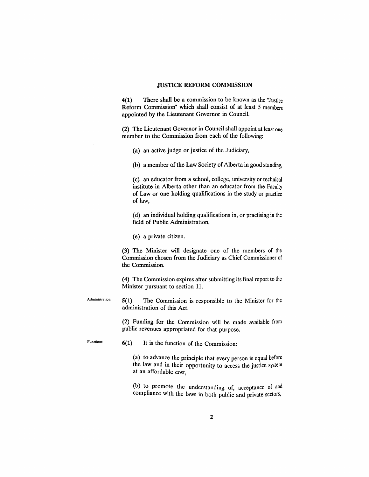#### JUSTICE REFORM COMMISSION

4(1) There shall be a commission to be known as the "Justice Reform Commission" which shall consist of at least 5 members appointed by the Lieutenant Governor in Council.

(2) The Lieutenant Governor in Council shall appoint at least one member to the Commission from each of the following:

(a) an active judge or justice of the Judiciary,

(b) a member of the Law Society of Alberta in good standing,

(c) an educator from a school, college, university or technical institute in Alberta other than an educator from the Faculty of Law or one holding qualifications in the study or practice of law,

(d) an individual holding qualifications in, or practising in the field of Public Administration,

(e) a private citizen.

(3) The Minister will designate one of the members of the Commission chosen from the Judiciary as Chief Commissioner of the Commission.

(4) The Commission expires after submitting its final report to the Minister pursuant to section 11.

Administration

5(1) The Commission is responsible to the Minister for the administration of this Act.

(2) Funding for the Commission will be made available from public revenues appropriated for that purpose.

Functions  $6(1)$  It is the function of the Commission:

(a) to advance the principle that every person is equal before the law and in their opportunity to access the justice system at an affordable cost,

(b) to promote the understanding of, acceptance of and compliance with the laws in both public and private sectors,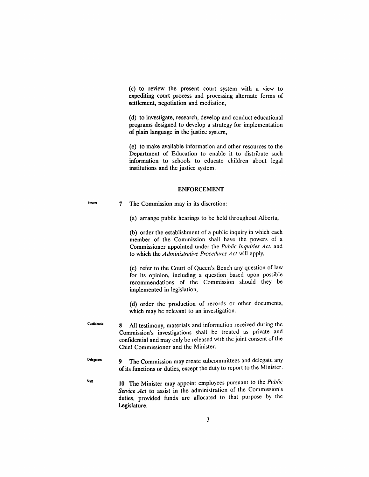(c) to review the present court system with a view to expediting court process and processing alternate forms of settlement, negotiation and mediation,

(d) to investigate, research, develop and conduct educational programs designed to develop a strategy for implementation of plain language in the justice system,

(e) to make available information and other resources to the Department of Education to enable it to distribute such information to schools to educate children about legal institutions and the justice system.

#### ENFORCEMENT

7 The Commission may in its discretion:

Powen

(a) arrange public hearings to be held throughout Alberta,

(b) order the establishment of a public inquiry in which each member of the Commission shall have the powers of a Commissioner appointed under the *Public Inquiries Act,* and to which the *Administrative Procedures Act* will apply,

(c) refer to the Court of Queen's Bench any question of law for its opinion, including a question based upon possible recommendations of the Commission should they be implemented in legislation,

(d) order the production of records or other documents, which may be relevant to an investigation.

- Confidential 8 All testimony, materials and information received during the Commission's investigations shall be treated as private and confidential and may only be released with the joint consent of the Chief Commissioner and the Minister.
- Delegation 9 The Commission may create subcommittees and delegate any of its functions or duties, except the duty to report to the Minister.
- **Staff 10** The Minister may appoint employees pursuant to the *Public Service Act* to assist in the administration of the Commission's duties, provided funds are allocated to that purpose by the Legislature.